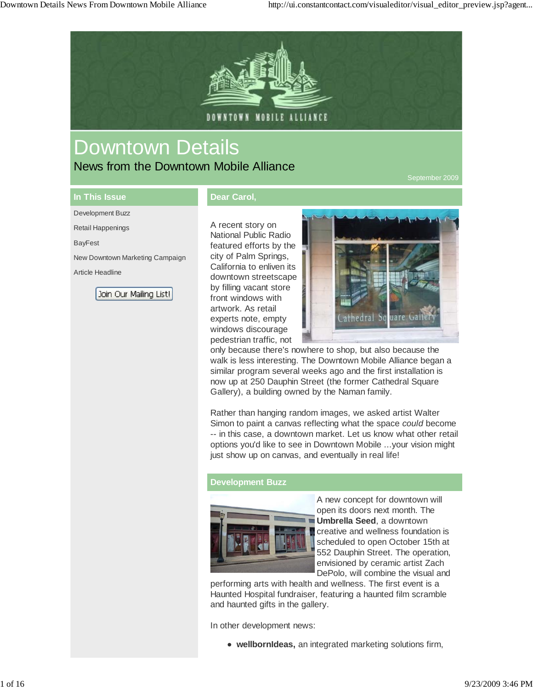

# Downtown Details

News from the Downtown Mobile Alliance

### **In This Issue** Development Buzz

Retail Happenings

Article Headline

New Downtown Marketing Campaign

Join Our Mailing List!

BayFest

#### **Dear Carol,**

A recent story on National Public Radio featured efforts by the city of Palm Springs, California to enliven its downtown streetscape by filling vacant store front windows with artwork. As retail experts note, empty windows discourage pedestrian traffic, not



only because there's nowhere to shop, but also because the walk is less interesting. The Downtown Mobile Alliance began a similar program several weeks ago and the first installation is now up at 250 Dauphin Street (the former Cathedral Square Gallery), a building owned by the Naman family.

Rather than hanging random images, we asked artist Walter Simon to paint a canvas reflecting what the space *could* become -- in this case, a downtown market. Let us know what other retail options you'd like to see in Downtown Mobile ...your vision might just show up on canvas, and eventually in real life!

#### **Development Buzz**



A new concept for downtown will open its doors next month. The **Umbrella Seed**, a downtown creative and wellness foundation is scheduled to open October 15th at 552 Dauphin Street. The operation, envisioned by ceramic artist Zach DePolo, will combine the visual and

performing arts with health and wellness. The first event is a Haunted Hospital fundraiser, featuring a haunted film scramble and haunted gifts in the gallery.

In other development news:

**wellbornIdeas,** an integrated marketing solutions firm,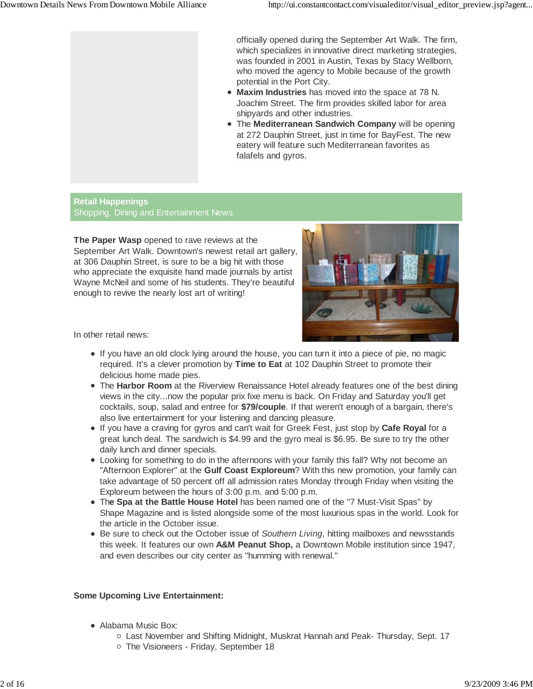officially opened during the September Art Walk. The firm, which specializes in innovative direct marketing strategies, was founded in 2001 in Austin, Texas by Stacy Wellborn, who moved the agency to Mobile because of the growth potential in the Port City.

- **Maxim Industries** has moved into the space at 78 N. Joachim Street. The firm provides skilled labor for area shipyards and other industries.
- The **Mediterranean Sandwich Company** will be opening at 272 Dauphin Street, just in time for BayFest. The new eatery will feature such Mediterranean favorites as falafels and gyros.

#### **Retail Happenings** Shopping, Dining and Entertainment News

**The Paper Wasp** opened to rave reviews at the September Art Walk. Downtown's newest retail art gallery, at 306 Dauphin Street, is sure to be a big hit with those who appreciate the exquisite hand made journals by artist Wayne McNeil and some of his students. They're beautiful enough to revive the nearly lost art of writing!



In other retail news:

- If you have an old clock lying around the house, you can turn it into a piece of pie, no magic required. It's a clever promotion by **Time to Eat** at 102 Dauphin Street to promote their delicious home made pies.
- The **Harbor Room** at the Riverview Renaissance Hotel already features one of the best dining views in the city...now the popular prix fixe menu is back. On Friday and Saturday you'll get cocktails, soup, salad and entree for **\$79/couple**. If that weren't enough of a bargain, there's also live entertainment for your listening and dancing pleasure.
- If you have a craving for gyros and can't wait for Greek Fest, just stop by **Cafe Royal** for a great lunch deal. The sandwich is \$4.99 and the gyro meal is \$6.95. Be sure to try the other daily lunch and dinner specials.
- Looking for something to do in the afternoons with your family this fall? Why not become an "Afternoon Explorer" at the **Gulf Coast Exploreum**? With this new promotion, your family can take advantage of 50 percent off all admission rates Monday through Friday when visiting the Exploreum between the hours of 3:00 p.m. and 5:00 p.m.
- Th**e Spa at the Battle House Hotel** has been named one of the "7 Must-Visit Spas" by Shape Magazine and is listed alongside some of the most luxurious spas in the world. Look for the article in the October issue.
- Be sure to check out the October issue of *Southern Living*, hitting mailboxes and newsstands this week. It features our own **A&M Peanut Shop,** a Downtown Mobile institution since 1947, and even describes our city center as "humming with renewal."

#### **Some Upcoming Live Entertainment:**

- Alabama Music Box:
	- Last November and Shifting Midnight, Muskrat Hannah and Peak- Thursday, Sept. 17
	- o The Visioneers Friday, September 18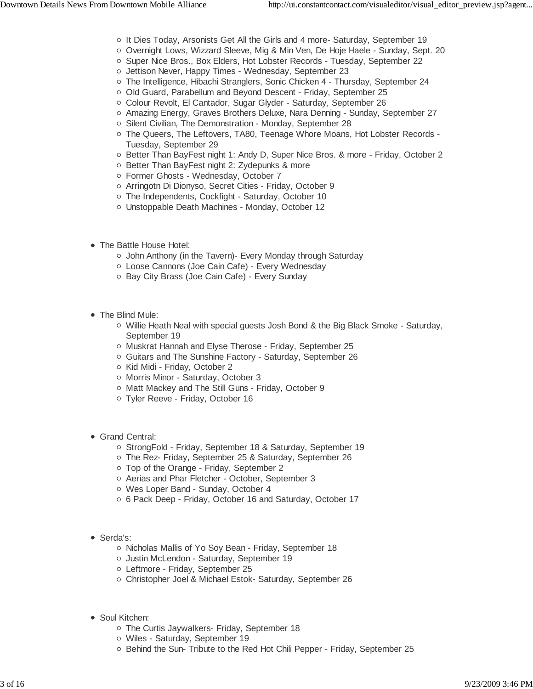- It Dies Today, Arsonists Get All the Girls and 4 more- Saturday, September 19
- Overnight Lows, Wizzard Sleeve, Mig & Min Ven, De Hoje Haele Sunday, Sept. 20
- o Super Nice Bros., Box Elders, Hot Lobster Records Tuesday, September 22
- o Jettison Never, Happy Times Wednesday, September 23
- The Intelligence, Hibachi Stranglers, Sonic Chicken 4 Thursday, September 24
- o Old Guard, Parabellum and Beyond Descent Friday, September 25
- Colour Revolt, El Cantador, Sugar Glyder Saturday, September 26
- Amazing Energy, Graves Brothers Deluxe, Nara Denning Sunday, September 27
- o Silent Civilian, The Demonstration Monday, September 28
- o The Queers, The Leftovers, TA80, Teenage Whore Moans, Hot Lobster Records -Tuesday, September 29
- Better Than BayFest night 1: Andy D, Super Nice Bros. & more Friday, October 2
- Better Than BayFest night 2: Zydepunks & more
- Former Ghosts Wednesday, October 7
- o Arringotn Di Dionyso, Secret Cities Friday, October 9
- o The Independents, Cockfight Saturday, October 10
- Unstoppable Death Machines Monday, October 12
- The Battle House Hotel:
	- John Anthony (in the Tavern)- Every Monday through Saturday
	- Loose Cannons (Joe Cain Cafe) Every Wednesday
	- o Bay City Brass (Joe Cain Cafe) Every Sunday
- The Blind Mule:
	- o Willie Heath Neal with special guests Josh Bond & the Big Black Smoke Saturday, September 19
	- Muskrat Hannah and Elyse Therose Friday, September 25
	- Guitars and The Sunshine Factory Saturday, September 26
	- Kid Midi Friday, October 2
	- o Morris Minor Saturday, October 3
	- o Matt Mackey and The Still Guns Friday, October 9
	- Tyler Reeve Friday, October 16
- Grand Central:
	- StrongFold Friday, September 18 & Saturday, September 19
	- The Rez- Friday, September 25 & Saturday, September 26
	- Top of the Orange Friday, September 2
	- Aerias and Phar Fletcher October, September 3
	- Wes Loper Band Sunday, October 4
	- 6 Pack Deep Friday, October 16 and Saturday, October 17
- Serda's:
	- Nicholas Mallis of Yo Soy Bean Friday, September 18
	- o Justin McLendon Saturday, September 19
	- Leftmore Friday, September 25
	- o Christopher Joel & Michael Estok- Saturday, September 26
- Soul Kitchen:
	- o The Curtis Jaywalkers- Friday, September 18
	- Wiles Saturday, September 19
	- Behind the Sun- Tribute to the Red Hot Chili Pepper Friday, September 25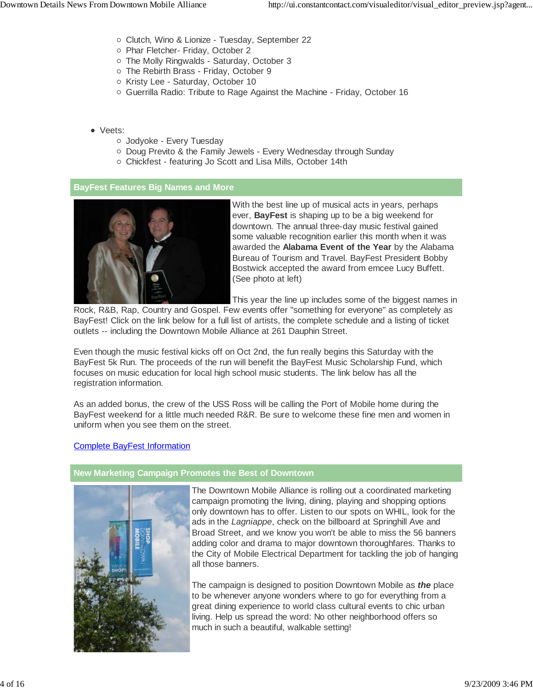- Clutch, Wino & Lionize Tuesday, September 22
- o Phar Fletcher- Friday, October 2
- o The Molly Ringwalds Saturday, October 3
- o The Rebirth Brass Friday, October 9
- o Kristy Lee Saturday, October 10
- Guerrilla Radio: Tribute to Rage Against the Machine Friday, October 16
- Veets:
	- Jodyoke Every Tuesday
	- Doug Previto & the Family Jewels Every Wednesday through Sunday
	- Chickfest featuring Jo Scott and Lisa Mills, October 14th

#### **BayFest Features Big Names and More**



With the best line up of musical acts in years, perhaps ever, **BayFest** is shaping up to be a big weekend for downtown. The annual three-day music festival gained some valuable recognition earlier this month when it was awarded the **Alabama Event of the Year** by the Alabama Bureau of Tourism and Travel. BayFest President Bobby Bostwick accepted the award from emcee Lucy Buffett. (See photo at left)

This year the line up includes some of the biggest names in

Rock, R&B, Rap, Country and Gospel. Few events offer "something for everyone" as completely as BayFest! Click on the link below for a full list of artists, the complete schedule and a listing of ticket outlets -- including the Downtown Mobile Alliance at 261 Dauphin Street.

Even though the music festival kicks off on Oct 2nd, the fun really begins this Saturday with the BayFest 5k Run. The proceeds of the run will benefit the BayFest Music Scholarship Fund, which focuses on music education for local high school music students. The link below has all the registration information.

As an added bonus, the crew of the USS Ross will be calling the Port of Mobile home during the BayFest weekend for a little much needed R&R. Be sure to welcome these fine men and women in uniform when you see them on the street.

#### Complete BayFest Information

#### **New Marketing Campaign Promotes the Best of Downtown**



The Downtown Mobile Alliance is rolling out a coordinated marketing campaign promoting the living, dining, playing and shopping options only downtown has to offer. Listen to our spots on WHIL, look for the ads in the *Lagniappe*, check on the billboard at Springhill Ave and Broad Street, and we know you won't be able to miss the 56 banners adding color and drama to major downtown thoroughfares. Thanks to the City of Mobile Electrical Department for tackling the job of hanging all those banners.

The campaign is designed to position Downtown Mobile as *the* place to be whenever anyone wonders where to go for everything from a great dining experience to world class cultural events to chic urban living. Help us spread the word: No other neighborhood offers so much in such a beautiful, walkable setting!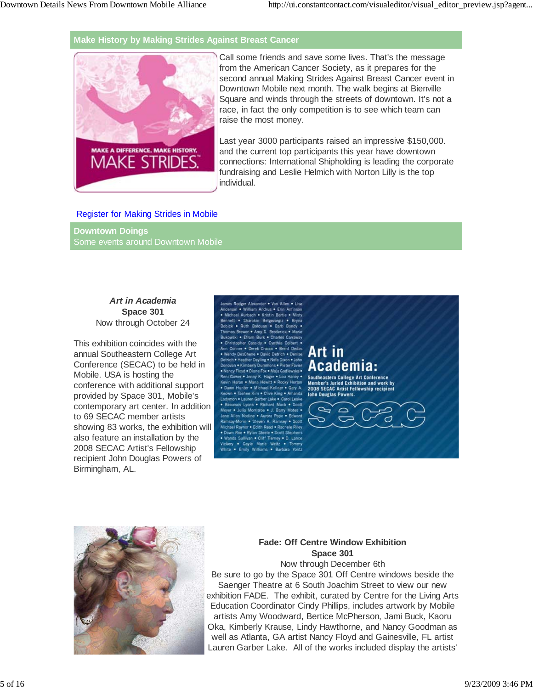#### **Make History by Making Strides Against Breast Cancer**



Call some friends and save some lives. That's the message from the American Cancer Society, as it prepares for the second annual Making Strides Against Breast Cancer event in Downtown Mobile next month. The walk begins at Bienville Square and winds through the streets of downtown. It's not a race, in fact the only competition is to see which team can raise the most money.

Last year 3000 participants raised an impressive \$150,000. and the current top participants this year have downtown connections: International Shipholding is leading the corporate fundraising and Leslie Helmich with Norton Lilly is the top individual.

#### Register for Making Strides in Mobile

**Downtown Doings** Some events around Downtown Mobile

#### *Art in Academia* **Space 301** Now through October 24

This exhibition coincides with the annual Southeastern College Art Conference (SECAC) to be held in Mobile. USA is hosting the conference with additional support provided by Space 301, Mobile's contemporary art center. In addition to 69 SECAC member artists showing 83 works, the exhibition will also feature an installation by the 2008 SECAC Artist's Fellowship recipient John Douglas Powers of Birmingham, AL.

Hiam Andrus . Erin Anfir **Sharokin** Betge Ruth ewer . Amy S. Broderick . Marie tsidy .. Cynthia Toyd . Diane Fox . Maia G





#### **Fade: Off Centre Window Exhibition Space 301**

Now through December 6th Be sure to go by the Space 301 Off Centre windows beside the Saenger Theatre at 6 South Joachim Street to view our new exhibition FADE. The exhibit, curated by Centre for the Living Arts Education Coordinator Cindy Phillips, includes artwork by Mobile artists Amy Woodward, Bertice McPherson, Jami Buck, Kaoru Oka, Kimberly Krause, Lindy Hawthorne, and Nancy Goodman as well as Atlanta, GA artist Nancy Floyd and Gainesville, FL artist Lauren Garber Lake. All of the works included display the artists'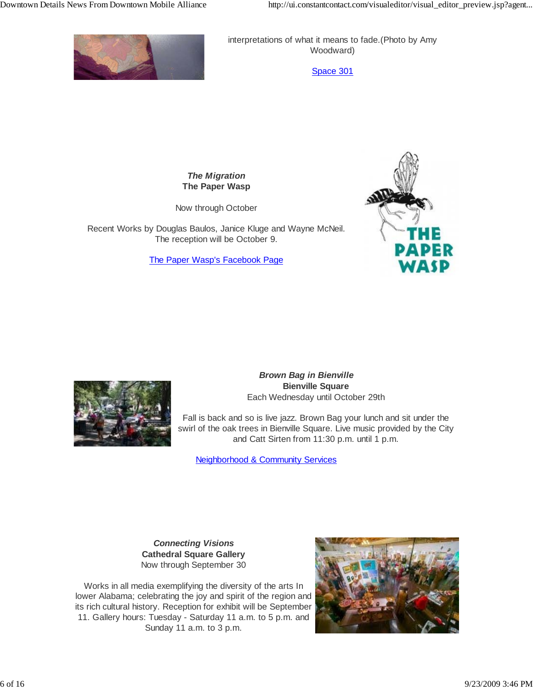

interpretations of what it means to fade.(Photo by Amy Woodward)

Space 301

*The Migration* **The Paper Wasp**

Now through October

Recent Works by Douglas Baulos, Janice Kluge and Wayne McNeil. The reception will be October 9.

The Paper Wasp's Facebook Page





 *Brown Bag in Bienville* **Bienville Square** Each Wednesday until October 29th

Fall is back and so is live jazz. Brown Bag your lunch and sit under the swirl of the oak trees in Bienville Square. Live music provided by the City and Catt Sirten from 11:30 p.m. until 1 p.m.

Neighborhood & Community Services

*Connecting Visions* **Cathedral Square Gallery** Now through September 30

Works in all media exemplifying the diversity of the arts In lower Alabama; celebrating the joy and spirit of the region and its rich cultural history. Reception for exhibit will be September 11. Gallery hours: Tuesday - Saturday 11 a.m. to 5 p.m. and Sunday 11 a.m. to 3 p.m.

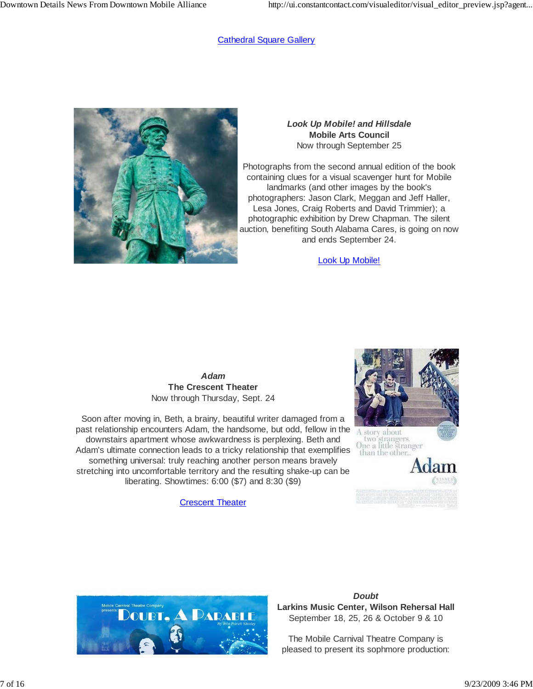#### Cathedral Square Gallery



#### *Look Up Mobile! and Hillsdale* **Mobile Arts Council** Now through September 25

Photographs from the second annual edition of the book containing clues for a visual scavenger hunt for Mobile landmarks (and other images by the book's photographers: Jason Clark, Meggan and Jeff Haller, Lesa Jones, Craig Roberts and David Trimmier); a photographic exhibition by Drew Chapman. The silent auction, benefiting South Alabama Cares, is going on now and ends September 24.

Look Up Mobile!

*Adam* **The Crescent Theater** Now through Thursday, Sept. 24

Soon after moving in, Beth, a brainy, beautiful writer damaged from a past relationship encounters Adam, the handsome, but odd, fellow in the downstairs apartment whose awkwardness is perplexing. Beth and Adam's ultimate connection leads to a tricky relationship that exemplifies something universal: truly reaching another person means bravely stretching into uncomfortable territory and the resulting shake-up can be liberating. Showtimes: 6:00 (\$7) and 8:30 (\$9)

Crescent Theater





#### *Doubt* **Larkins Music Center, Wilson Rehersal Hall** September 18, 25, 26 & October 9 & 10

The Mobile Carnival Theatre Company is pleased to present its sophmore production: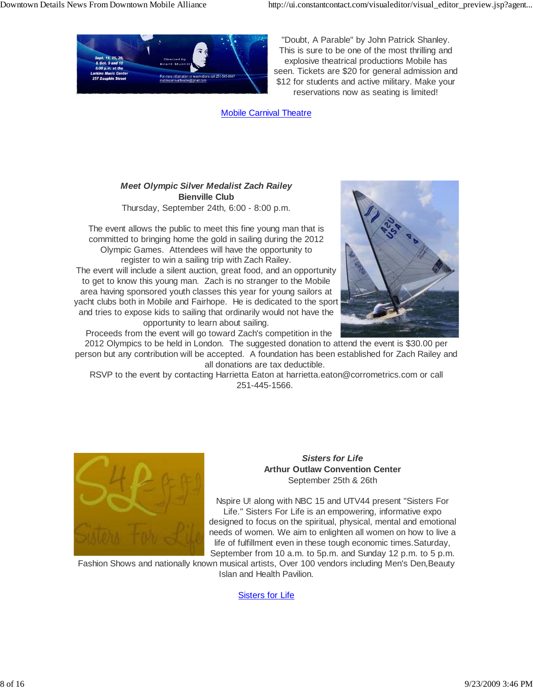

"Doubt, A Parable" by John Patrick Shanley. This is sure to be one of the most thrilling and explosive theatrical productions Mobile has seen. Tickets are \$20 for general admission and \$12 for students and active military. Make your reservations now as seating is limited!

Mobile Carnival Theatre

#### *Meet Olympic Silver Medalist Zach Railey* **Bienville Club** Thursday, September 24th, 6:00 - 8:00 p.m.

The event allows the public to meet this fine young man that is committed to bringing home the gold in sailing during the 2012 Olympic Games. Attendees will have the opportunity to register to win a sailing trip with Zach Railey. The event will include a silent auction, great food, and an opportunity to get to know this young man. Zach is no stranger to the Mobile area having sponsored youth classes this year for young sailors at yacht clubs both in Mobile and Fairhope. He is dedicated to the sport and tries to expose kids to sailing that ordinarily would not have the opportunity to learn about sailing.



Proceeds from the event will go toward Zach's competition in the

2012 Olympics to be held in London. The suggested donation to attend the event is \$30.00 per person but any contribution will be accepted. A foundation has been established for Zach Railey and all donations are tax deductible.

RSVP to the event by contacting Harrietta Eaton at harrietta.eaton@corrometrics.com or call 251-445-1566.



#### *Sisters for Life* **Arthur Outlaw Convention Center** September 25th & 26th

Nspire U! along with NBC 15 and UTV44 present "Sisters For Life." Sisters For Life is an empowering, informative expo designed to focus on the spiritual, physical, mental and emotional needs of women. We aim to enlighten all women on how to live a life of fulfillment even in these tough economic times.Saturday, September from 10 a.m. to 5p.m. and Sunday 12 p.m. to 5 p.m.

Fashion Shows and nationally known musical artists, Over 100 vendors including Men's Den,Beauty Islan and Health Pavilion.

Sisters for Life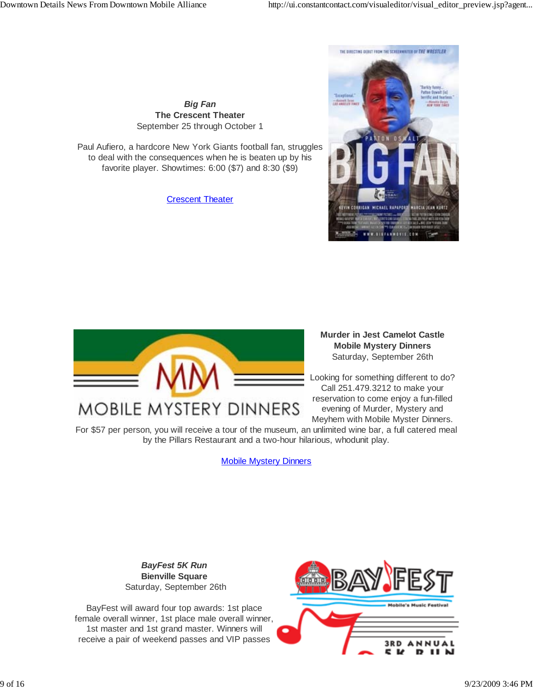*Big Fan* **The Crescent Theater** September 25 through October 1

Paul Aufiero, a hardcore New York Giants football fan, struggles to deal with the consequences when he is beaten up by his favorite player. Showtimes: 6:00 (\$7) and 8:30 (\$9)

Crescent Theater





**MOBILE MYSTERY DINNERS** 

**Murder in Jest Camelot Castle Mobile Mystery Dinners** Saturday, September 26th

Looking for something different to do? Call 251.479.3212 to make your reservation to come enjoy a fun-filled evening of Murder, Mystery and Meyhem with Mobile Myster Dinners.

For \$57 per person, you will receive a tour of the museum, an unlimited wine bar, a full catered meal by the Pillars Restaurant and a two-hour hilarious, whodunit play.

Mobile Mystery Dinners

*BayFest 5K Run* **Bienville Square** Saturday, September 26th

BayFest will award four top awards: 1st place female overall winner, 1st place male overall winner, 1st master and 1st grand master. Winners will receive a pair of weekend passes and VIP passes

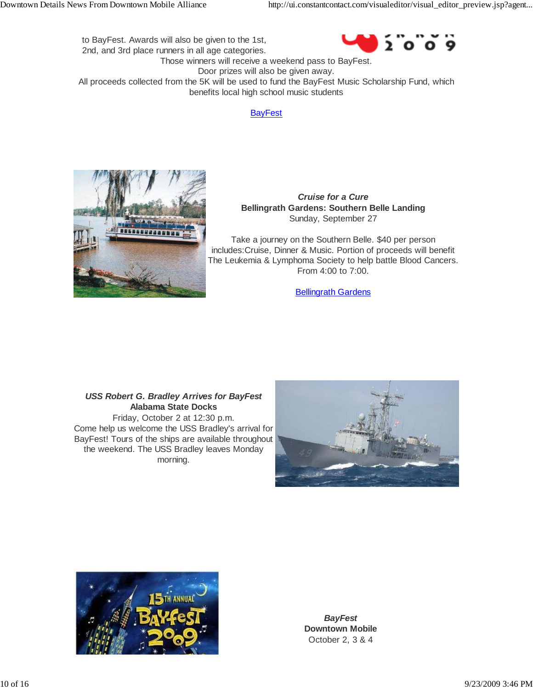$2°0°0°9$ to BayFest. Awards will also be given to the 1st, 2nd, and 3rd place runners in all age categories. Those winners will receive a weekend pass to BayFest. Door prizes will also be given away. All proceeds collected from the 5K will be used to fund the BayFest Music Scholarship Fund, which

#### **BayFest**

benefits local high school music students



*Cruise for a Cure* **Bellingrath Gardens: Southern Belle Landing** Sunday, September 27

Take a journey on the Southern Belle. \$40 per person includes:Cruise, Dinner & Music. Portion of proceeds will benefit The Leukemia & Lymphoma Society to help battle Blood Cancers. From 4:00 to 7:00.

Bellingrath Gardens

*USS Robert G. Bradley Arrives for BayFest* **Alabama State Docks** Friday, October 2 at 12:30 p.m. Come help us welcome the USS Bradley's arrival for BayFest! Tours of the ships are available throughout the weekend. The USS Bradley leaves Monday morning.





*BayFest* **Downtown Mobile** October 2, 3 & 4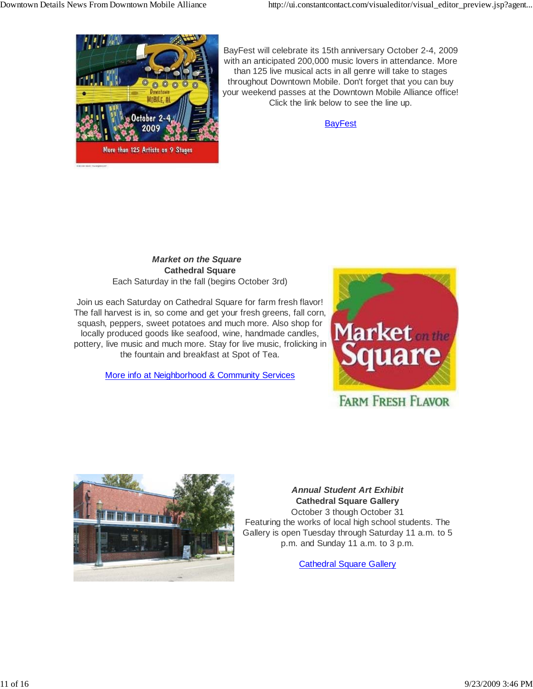

BayFest will celebrate its 15th anniversary October 2-4, 2009 with an anticipated 200,000 music lovers in attendance. More than 125 live musical acts in all genre will take to stages throughout Downtown Mobile. Don't forget that you can buy your weekend passes at the Downtown Mobile Alliance office! Click the link below to see the line up.

**BayFest** 

## *Market on the Square* **Cathedral Square**

Each Saturday in the fall (begins October 3rd)

Join us each Saturday on Cathedral Square for farm fresh flavor! The fall harvest is in, so come and get your fresh greens, fall corn, squash, peppers, sweet potatoes and much more. Also shop for locally produced goods like seafood, wine, handmade candles, pottery, live music and much more. Stay for live music, frolicking in the fountain and breakfast at Spot of Tea.

More info at Neighborhood & Community Services



# **FARM FRESH FLAVOR**



#### *Annual Student Art Exhibit* **Cathedral Square Gallery** October 3 though October 31

Featuring the works of local high school students. The Gallery is open Tuesday through Saturday 11 a.m. to 5 p.m. and Sunday 11 a.m. to 3 p.m.

Cathedral Square Gallery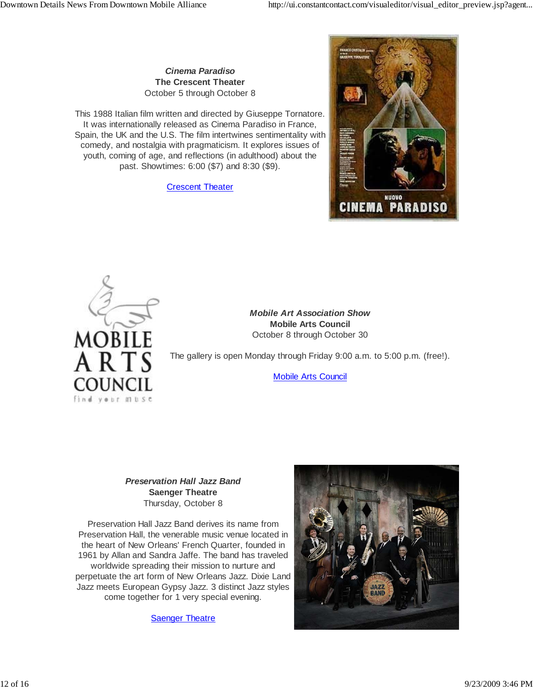*Cinema Paradiso* **The Crescent Theater** October 5 through October 8

This 1988 Italian film written and directed by Giuseppe Tornatore. It was internationally released as Cinema Paradiso in France, Spain, the UK and the U.S. The film intertwines sentimentality with comedy, and nostalgia with pragmaticism. It explores issues of youth, coming of age, and reflections (in adulthood) about the past. Showtimes: 6:00 (\$7) and 8:30 (\$9).

**Crescent Theater** 





*Mobile Art Association Show* **Mobile Arts Council** October 8 through October 30

The gallery is open Monday through Friday 9:00 a.m. to 5:00 p.m. (free!).

Mobile Arts Council

*Preservation Hall Jazz Band* **Saenger Theatre** Thursday, October 8

Preservation Hall Jazz Band derives its name from Preservation Hall, the venerable music venue located in the heart of New Orleans' French Quarter, founded in 1961 by Allan and Sandra Jaffe. The band has traveled worldwide spreading their mission to nurture and perpetuate the art form of New Orleans Jazz. Dixie Land Jazz meets European Gypsy Jazz. 3 distinct Jazz styles come together for 1 very special evening.

Saenger Theatre

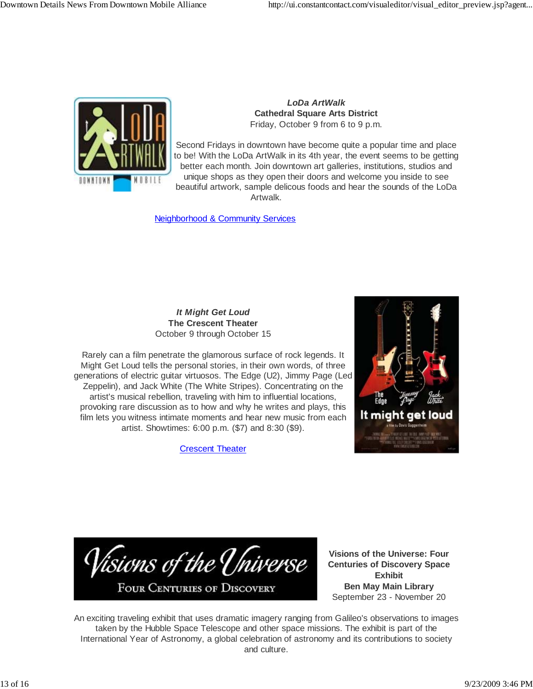

*LoDa ArtWalk* **Cathedral Square Arts District** Friday, October 9 from 6 to 9 p.m.

Second Fridays in downtown have become quite a popular time and place to be! With the LoDa ArtWalk in its 4th year, the event seems to be getting better each month. Join downtown art galleries, institutions, studios and unique shops as they open their doors and welcome you inside to see beautiful artwork, sample delicous foods and hear the sounds of the LoDa Artwalk.

Neighborhood & Community Services

#### *It Might Get Loud* **The Crescent Theater** October 9 through October 15

Rarely can a film penetrate the glamorous surface of rock legends. It Might Get Loud tells the personal stories, in their own words, of three generations of electric guitar virtuosos. The Edge (U2), Jimmy Page (Led Zeppelin), and Jack White (The White Stripes). Concentrating on the artist's musical rebellion, traveling with him to influential locations, provoking rare discussion as to how and why he writes and plays, this film lets you witness intimate moments and hear new music from each artist. Showtimes: 6:00 p.m. (\$7) and 8:30 (\$9).

**Crescent Theater** 



Visions of the Universe **FOUR CENTURIES OF DISCOVERY** 

**Visions of the Universe: Four Centuries of Discovery Space Exhibit Ben May Main Library** September 23 - November 20

An exciting traveling exhibit that uses dramatic imagery ranging from Galileo's observations to images taken by the Hubble Space Telescope and other space missions. The exhibit is part of the International Year of Astronomy, a global celebration of astronomy and its contributions to society and culture.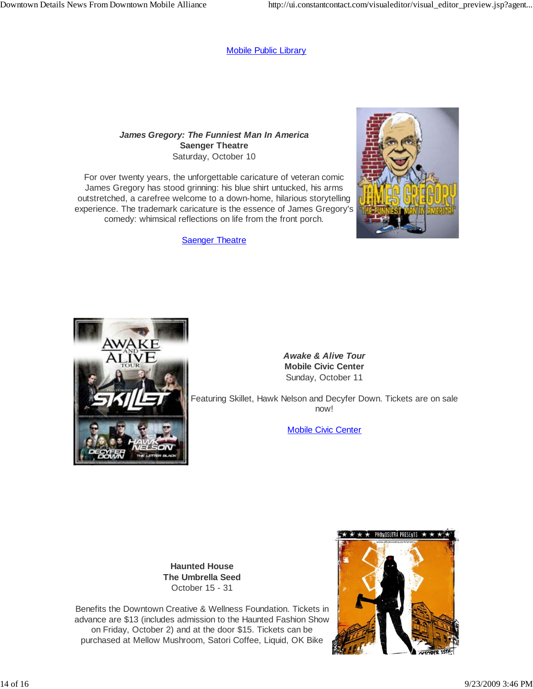#### Mobile Public Library

#### *James Gregory: The Funniest Man In America* **Saenger Theatre** Saturday, October 10

For over twenty years, the unforgettable caricature of veteran comic James Gregory has stood grinning: his blue shirt untucked, his arms outstretched, a carefree welcome to a down-home, hilarious storytelling experience. The trademark caricature is the essence of James Gregory's comedy: whimsical reflections on life from the front porch.

Saenger Theatre





*Awake & Alive Tour* **Mobile Civic Center** Sunday, October 11

Featuring Skillet, Hawk Nelson and Decyfer Down. Tickets are on sale now!

Mobile Civic Center

**Haunted House The Umbrella Seed** October 15 - 31

Benefits the Downtown Creative & Wellness Foundation. Tickets in advance are \$13 (includes admission to the Haunted Fashion Show on Friday, October 2) and at the door \$15. Tickets can be purchased at Mellow Mushroom, Satori Coffee, Liquid, OK Bike

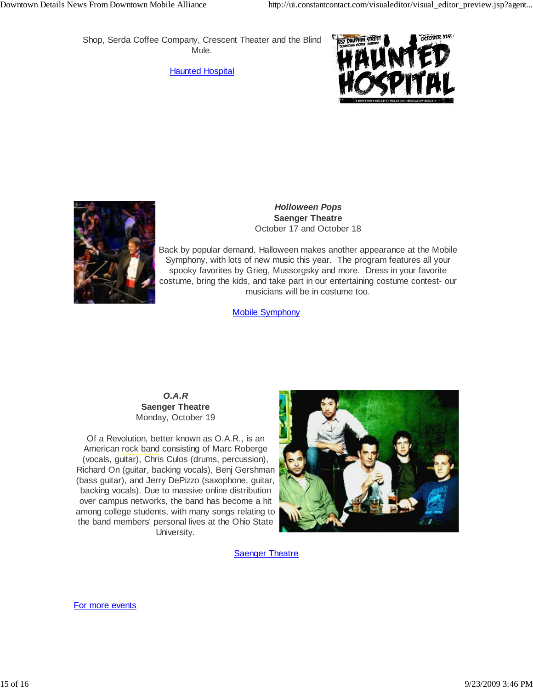Shop, Serda Coffee Company, Crescent Theater and the Blind Mule.

Haunted Hospital





#### *Holloween Pops* **Saenger Theatre** October 17 and October 18

Back by popular demand, Halloween makes another appearance at the Mobile Symphony, with lots of new music this year. The program features all your spooky favorites by Grieg, Mussorgsky and more. Dress in your favorite costume, bring the kids, and take part in our entertaining costume contest- our musicians will be in costume too.

Mobile Symphony

*O.A.R* **Saenger Theatre** Monday, October 19

Of a Revolution, better known as O.A.R., is an American rock band consisting of Marc Roberge (vocals, guitar), Chris Culos (drums, percussion), Richard On (guitar, backing vocals), Benj Gershman (bass guitar), and Jerry DePizzo (saxophone, guitar, backing vocals). Due to massive online distribution over campus networks, the band has become a hit among college students, with many songs relating to the band members' personal lives at the Ohio State University.



**Saenger Theatre** 

For more events